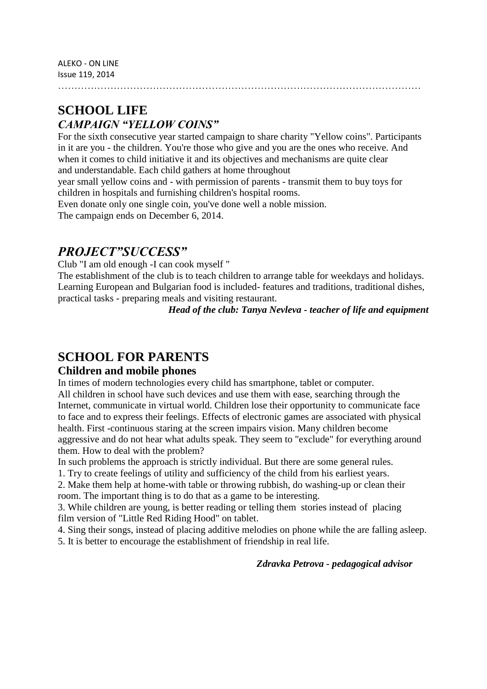…………………………………………………………………………………………………

## **SCHOOL LIFE** *CAMPAIGN "YELLOW COINS"*

For the sixth consecutive year started campaign to share charity "Yellow coins". Participants in it are you - the children. You're those who give and you are the ones who receive. And when it comes to child initiative it and its objectives and mechanisms are quite clear and understandable. Each child gathers at home throughout

year small yellow coins and - with permission of parents - transmit them to buy toys for children in hospitals and furnishing children's hospital rooms.

Even donate only one single coin, you've done well a noble mission.

The campaign ends on December 6, 2014.

## *PROJECT"SUCCESS"*

Club "I am old enough -I can cook myself "

The establishment of the club is to teach children to arrange table for weekdays and holidays. Learning European and Bulgarian food is included- features and traditions, traditional dishes, practical tasks - preparing meals and visiting restaurant.

 *Head of the club: Tanya Nevleva - teacher of life and equipment*

# **SCHOOL FOR PARENTS**

### **Children and mobile phones**

In times of modern technologies every child has smartphone, tablet or computer. All children in school have such devices and use them with ease, searching through the Internet, communicate in virtual world. Children lose their opportunity to communicate face to face and to express their feelings. Effects of electronic games are associated with physical health. First -continuous staring at the screen impairs vision. Many children become aggressive and do not hear what adults speak. They seem to "exclude" for everything around them. How to deal with the problem?

In such problems the approach is strictly individual. But there are some general rules.

1. Try to create feelings of utility and sufficiency of the child from his earliest years.

2. Make them help at home-with table or throwing rubbish, do washing-up or clean their room. The important thing is to do that as a game to be interesting.

3. While children are young, is better reading or telling them stories instead of placing film version of "Little Red Riding Hood" on tablet.

4. Sing their songs, instead of placing additive melodies on phone while the are falling asleep.

5. It is better to encourage the establishment of friendship in real life.

 *Zdravka Petrova - pedagogical advisor*